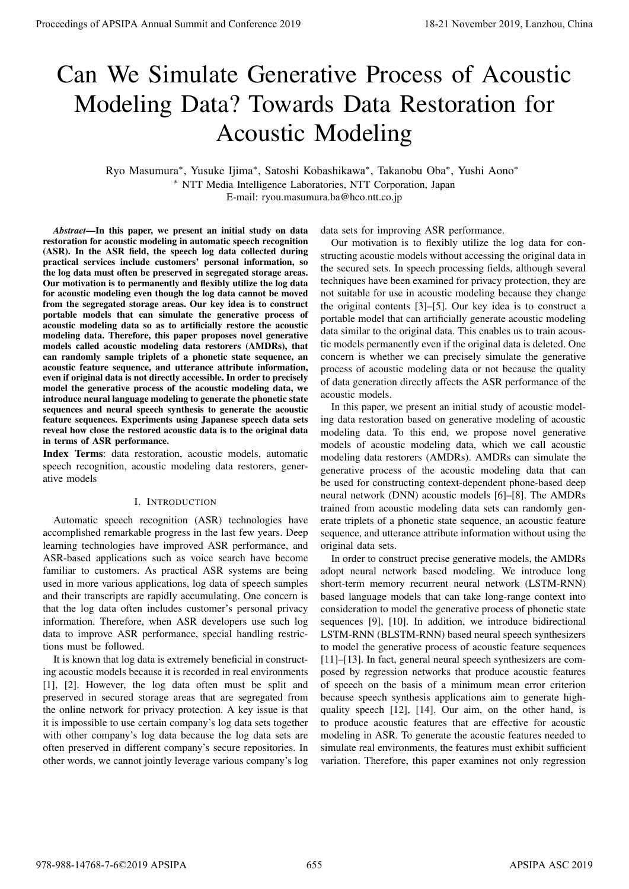# Can We Simulate Generative Process of Acoustic Modeling Data? Towards Data Restoration for Acoustic Modeling

Ryo Masumura*<sup>∗</sup>* , Yusuke Ijima*<sup>∗</sup>* , Satoshi Kobashikawa*<sup>∗</sup>* , Takanobu Oba*<sup>∗</sup>* , Yushi Aono*<sup>∗</sup> <sup>∗</sup>* NTT Media Intelligence Laboratories, NTT Corporation, Japan E-mail: ryou.masumura.ba@hco.ntt.co.jp

*Abstract*—In this paper, we present an initial study on data restoration for acoustic modeling in automatic speech recognition (ASR). In the ASR field, the speech log data collected during practical services include customers' personal information, so the log data must often be preserved in segregated storage areas. Our motivation is to permanently and flexibly utilize the log data for acoustic modeling even though the log data cannot be moved from the segregated storage areas. Our key idea is to construct portable models that can simulate the generative process of acoustic modeling data so as to artificially restore the acoustic modeling data. Therefore, this paper proposes novel generative models called acoustic modeling data restorers (AMDRs), that can randomly sample triplets of a phonetic state sequence, an acoustic feature sequence, and utterance attribute information, even if original data is not directly accessible. In order to precisely model the generative process of the acoustic modeling data, we introduce neural language modeling to generate the phonetic state sequences and neural speech synthesis to generate the acoustic feature sequences. Experiments using Japanese speech data sets reveal how close the restored acoustic data is to the original data in terms of ASR performance. **Proceedings of APSIPA Annual Summit at Conference 2019**<br> **Conserverse of Accounts Conference 2019**<br> **Conservers of Accounts Conservers of Accounts Conservers of Accounts Conservers of Accounts Conservers of Accounts Cons** 

Index Terms: data restoration, acoustic models, automatic speech recognition, acoustic modeling data restorers, generative models

## I. INTRODUCTION

Automatic speech recognition (ASR) technologies have accomplished remarkable progress in the last few years. Deep learning technologies have improved ASR performance, and ASR-based applications such as voice search have become familiar to customers. As practical ASR systems are being used in more various applications, log data of speech samples and their transcripts are rapidly accumulating. One concern is that the log data often includes customer's personal privacy information. Therefore, when ASR developers use such log data to improve ASR performance, special handling restrictions must be followed.

It is known that log data is extremely beneficial in constructing acoustic models because it is recorded in real environments [1], [2]. However, the log data often must be split and preserved in secured storage areas that are segregated from the online network for privacy protection. A key issue is that it is impossible to use certain company's log data sets together with other company's log data because the log data sets are often preserved in different company's secure repositories. In other words, we cannot jointly leverage various company's log

data sets for improving ASR performance.

Our motivation is to flexibly utilize the log data for constructing acoustic models without accessing the original data in the secured sets. In speech processing fields, although several techniques have been examined for privacy protection, they are not suitable for use in acoustic modeling because they change the original contents [3]–[5]. Our key idea is to construct a portable model that can artificially generate acoustic modeling data similar to the original data. This enables us to train acoustic models permanently even if the original data is deleted. One concern is whether we can precisely simulate the generative process of acoustic modeling data or not because the quality of data generation directly affects the ASR performance of the acoustic models.

In this paper, we present an initial study of acoustic modeling data restoration based on generative modeling of acoustic modeling data. To this end, we propose novel generative models of acoustic modeling data, which we call acoustic modeling data restorers (AMDRs). AMDRs can simulate the generative process of the acoustic modeling data that can be used for constructing context-dependent phone-based deep neural network (DNN) acoustic models [6]–[8]. The AMDRs trained from acoustic modeling data sets can randomly generate triplets of a phonetic state sequence, an acoustic feature sequence, and utterance attribute information without using the original data sets.

In order to construct precise generative models, the AMDRs adopt neural network based modeling. We introduce long short-term memory recurrent neural network (LSTM-RNN) based language models that can take long-range context into consideration to model the generative process of phonetic state sequences [9], [10]. In addition, we introduce bidirectional LSTM-RNN (BLSTM-RNN) based neural speech synthesizers to model the generative process of acoustic feature sequences [11]–[13]. In fact, general neural speech synthesizers are composed by regression networks that produce acoustic features of speech on the basis of a minimum mean error criterion because speech synthesis applications aim to generate highquality speech [12], [14]. Our aim, on the other hand, is to produce acoustic features that are effective for acoustic modeling in ASR. To generate the acoustic features needed to simulate real environments, the features must exhibit sufficient variation. Therefore, this paper examines not only regression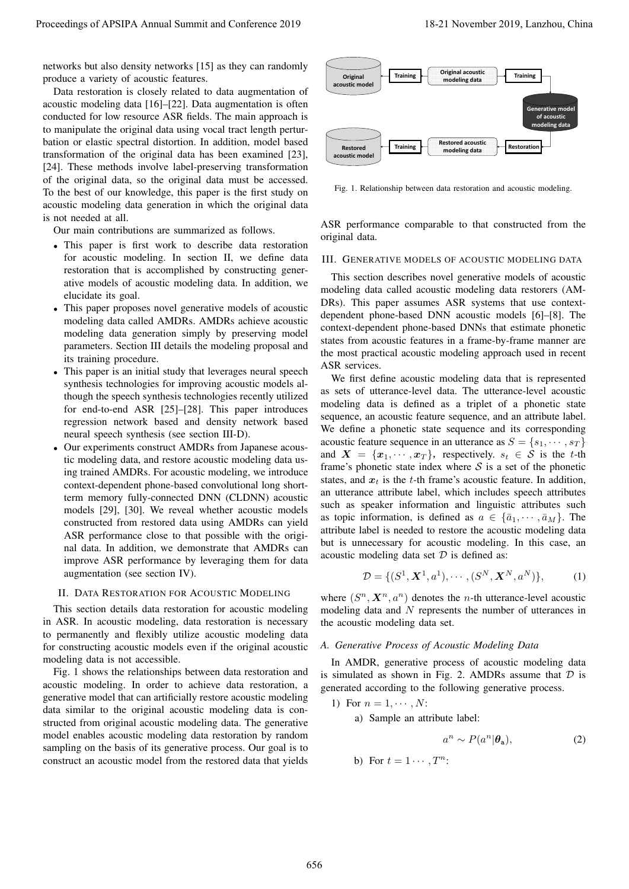networks but also density networks [15] as they can randomly produce a variety of acoustic features.

Data restoration is closely related to data augmentation of acoustic modeling data [16]–[22]. Data augmentation is often conducted for low resource ASR fields. The main approach is to manipulate the original data using vocal tract length perturbation or elastic spectral distortion. In addition, model based transformation of the original data has been examined [23], [24]. These methods involve label-preserving transformation of the original data, so the original data must be accessed. To the best of our knowledge, this paper is the first study on acoustic modeling data generation in which the original data is not needed at all.

Our main contributions are summarized as follows.

- *•* This paper is first work to describe data restoration for acoustic modeling. In section II, we define data restoration that is accomplished by constructing generative models of acoustic modeling data. In addition, we elucidate its goal.
- This paper proposes novel generative models of acoustic modeling data called AMDRs. AMDRs achieve acoustic modeling data generation simply by preserving model parameters. Section III details the modeling proposal and its training procedure.
- *•* This paper is an initial study that leverages neural speech synthesis technologies for improving acoustic models although the speech synthesis technologies recently utilized for end-to-end ASR [25]–[28]. This paper introduces regression network based and density network based neural speech synthesis (see section III-D).
- *•* Our experiments construct AMDRs from Japanese acoustic modeling data, and restore acoustic modeling data using trained AMDRs. For acoustic modeling, we introduce context-dependent phone-based convolutional long shortterm memory fully-connected DNN (CLDNN) acoustic models [29], [30]. We reveal whether acoustic models constructed from restored data using AMDRs can yield ASR performance close to that possible with the original data. In addition, we demonstrate that AMDRs can improve ASR performance by leveraging them for data augmentation (see section IV).

## II. DATA RESTORATION FOR ACOUSTIC MODELING

This section details data restoration for acoustic modeling in ASR. In acoustic modeling, data restoration is necessary to permanently and flexibly utilize acoustic modeling data for constructing acoustic models even if the original acoustic modeling data is not accessible.

Fig. 1 shows the relationships between data restoration and acoustic modeling. In order to achieve data restoration, a generative model that can artificially restore acoustic modeling data similar to the original acoustic modeling data is constructed from original acoustic modeling data. The generative model enables acoustic modeling data restoration by random sampling on the basis of its generative process. Our goal is to construct an acoustic model from the restored data that yields



Fig. 1. Relationship between data restoration and acoustic modeling.

ASR performance comparable to that constructed from the original data.

#### III. GENERATIVE MODELS OF ACOUSTIC MODELING DATA

This section describes novel generative models of acoustic modeling data called acoustic modeling data restorers (AM-DRs). This paper assumes ASR systems that use contextdependent phone-based DNN acoustic models [6]–[8]. The context-dependent phone-based DNNs that estimate phonetic states from acoustic features in a frame-by-frame manner are the most practical acoustic modeling approach used in recent ASR services.

We first define acoustic modeling data that is represented as sets of utterance-level data. The utterance-level acoustic modeling data is defined as a triplet of a phonetic state sequence, an acoustic feature sequence, and an attribute label. We define a phonetic state sequence and its corresponding acoustic feature sequence in an utterance as  $S = \{s_1, \dots, s_T\}$ and  $X = \{x_1, \dots, x_T\}$ , respectively.  $s_t \in S$  is the *t*-th frame's phonetic state index where  $S$  is a set of the phonetic states, and  $x_t$  is the *t*-th frame's acoustic feature. In addition, an utterance attribute label, which includes speech attributes such as speaker information and linguistic attributes such as topic information, is defined as  $a \in {\bar{a_1}, \cdots, \bar{a_M}}$ . The attribute label is needed to restore the acoustic modeling data but is unnecessary for acoustic modeling. In this case, an acoustic modeling data set *D* is defined as: Proceedings of APSIPA Annual Summit at the space 2019<br>
Summit and the space 2019 18-21 November 2019 18-21 November 2019 18-21 November 2019 18-21 November 2019 18-21 November 2019 18-21 November 2019 18-21 November 2019

$$
\mathcal{D} = \{ (S^1, \mathbf{X}^1, a^1), \cdots, (S^N, \mathbf{X}^N, a^N) \},\tag{1}
$$

where  $(S^n, X^n, a^n)$  denotes the *n*-th utterance-level acoustic modeling data and *N* represents the number of utterances in the acoustic modeling data set.

## *A. Generative Process of Acoustic Modeling Data*

In AMDR, generative process of acoustic modeling data is simulated as shown in Fig. 2. AMDRs assume that *D* is generated according to the following generative process.

1) For 
$$
n = 1, \dots, N
$$
:  
a) Sample an attribute label:

$$
a^n \sim P(a^n | \theta_a), \tag{2}
$$

b) For  $t = 1 \cdots T^n$ :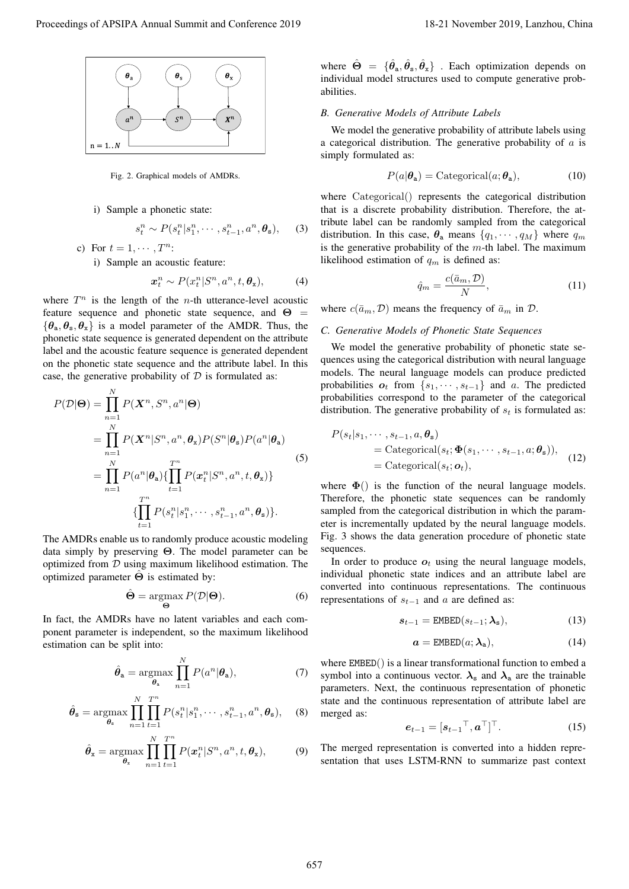

Fig. 2. Graphical models of AMDRs.

i) Sample a phonetic state:

$$
s_t^n \sim P(s_t^n | s_1^n, \cdots, s_{t-1}^n, a^n, \theta_s), \qquad (3)
$$

c) For  $t = 1, \dots, T^n$ :

i) Sample an acoustic feature:

$$
\boldsymbol{x}_t^n \sim P(\boldsymbol{x}_t^n | \boldsymbol{S}^n, \boldsymbol{a}^n, t, \boldsymbol{\theta}_x), \tag{4}
$$

where  $T^n$  is the length of the *n*-th utterance-level acoustic feature sequence and phonetic state sequence, and  $\Theta$  =  $\{\theta_a, \theta_s, \theta_x\}$  is a model parameter of the AMDR. Thus, the phonetic state sequence is generated dependent on the attribute label and the acoustic feature sequence is generated dependent on the phonetic state sequence and the attribute label. In this case, the generative probability of  $D$  is formulated as:

*P*(*D|***Θ**) = ∏ *N n*=1 *P*(*X<sup>n</sup> , S<sup>n</sup> , a<sup>n</sup> |***Θ**) = ∏ *N n*=1 *P*(*X<sup>n</sup> |S n , a<sup>n</sup> , θ*x)*P*(*S n |θ*s)*P*(*a n |θ*a) = ∏ *N n*=1 *P*(*a n |θ*a)*{ T* ∏*n t*=1 *P*(*x n t |S n , a<sup>n</sup> , t, θ*x)*} { T* ∏*n t*=1 *P*(*s n t |s n* 1 *, · · · , s<sup>n</sup> t−*1 *, a<sup>n</sup> , θ*s)*}.* (5) Proceedings of APSIPA Annual Summit and Conference 2019 18-21 November 2019, Lanzhou, China 657

The AMDRs enable us to randomly produce acoustic modeling data simply by preserving **Θ**. The model parameter can be optimized from *D* using maximum likelihood estimation. The optimized parameter **Θ**ˆ is estimated by:

$$
\hat{\Theta} = \underset{\Theta}{\operatorname{argmax}} P(\mathcal{D}|\Theta). \tag{6}
$$

In fact, the AMDRs have no latent variables and each component parameter is independent, so the maximum likelihood estimation can be split into:

$$
\hat{\theta}_{\mathbf{a}} = \underset{\theta_{\mathbf{a}}}{\operatorname{argmax}} \prod_{n=1}^{N} P(a^n | \theta_{\mathbf{a}}), \tag{7}
$$

$$
\hat{\theta}_{\mathbf{s}} = \underset{\theta_{\mathbf{s}}}{\operatorname{argmax}} \prod_{n=1}^{N} \prod_{t=1}^{T^{n}} P(s_{t}^{n} | s_{1}^{n}, \cdots, s_{t-1}^{n}, a^{n}, \theta_{\mathbf{s}}), \quad (8)
$$

$$
\hat{\theta}_{\mathbf{x}} = \underset{\theta_{\mathbf{x}}}{\operatorname{argmax}} \prod_{n=1}^{N} \prod_{t=1}^{T^{n}} P(\mathbf{x}_{t}^{n} | S^{n}, a^{n}, t, \theta_{\mathbf{x}}), \quad (9)
$$

where  $\hat{\Theta} = {\hat{\theta}_a, \hat{\theta}_s, \hat{\theta}_x}$ . Each optimization depends on individual model structures used to compute generative probabilities.

# *B. Generative Models of Attribute Labels*

We model the generative probability of attribute labels using a categorical distribution. The generative probability of *a* is simply formulated as:

$$
P(a|\theta_a) = \text{Categorical}(a; \theta_a), \tag{10}
$$

where Categorical() represents the categorical distribution that is a discrete probability distribution. Therefore, the attribute label can be randomly sampled from the categorical distribution. In this case,  $\theta_a$  means  $\{q_1, \dots, q_M\}$  where  $q_m$ is the generative probability of the *m*-th label. The maximum likelihood estimation of *q<sup>m</sup>* is defined as:

$$
\hat{q}_m = \frac{c(\bar{a}_m, \mathcal{D})}{N},\tag{11}
$$

where  $c(\bar{a}_m, \mathcal{D})$  means the frequency of  $\bar{a}_m$  in  $\mathcal{D}$ .

## *C. Generative Models of Phonetic State Sequences*

We model the generative probability of phonetic state sequences using the categorical distribution with neural language models. The neural language models can produce predicted probabilities  $o_t$  from  $\{s_1, \dots, s_{t-1}\}$  and *a*. The predicted probabilities correspond to the parameter of the categorical distribution. The generative probability of  $s_t$  is formulated as:

$$
P(s_t|s_1, \cdots, s_{t-1}, a, \theta_s)
$$
  
= Categorical(s\_t;  $\Phi(s_1, \cdots, s_{t-1}, a; \theta_s)$ ),  
= Categorical(s\_t;  $\boldsymbol{o}_t$ ), (12)

where  $\Phi()$  is the function of the neural language models. Therefore, the phonetic state sequences can be randomly sampled from the categorical distribution in which the parameter is incrementally updated by the neural language models. Fig. 3 shows the data generation procedure of phonetic state sequences.

In order to produce  $o_t$  using the neural language models, individual phonetic state indices and an attribute label are converted into continuous representations. The continuous representations of *s<sup>t</sup>−*<sup>1</sup> and *a* are defined as:

$$
s_{t-1} = \text{EMBED}(s_{t-1}; \lambda_{s}), \tag{13}
$$

$$
a = \text{EMBED}(a; \lambda_a), \tag{14}
$$

where EMBED() is a linear transformational function to embed a symbol into a continuous vector.  $\lambda_s$  and  $\lambda_a$  are the trainable parameters. Next, the continuous representation of phonetic state and the continuous representation of attribute label are merged as:

$$
\boldsymbol{e}_{t-1} = [\boldsymbol{s}_{t-1}^\top, \boldsymbol{a}^\top]^\top. \tag{15}
$$

The merged representation is converted into a hidden representation that uses LSTM-RNN to summarize past context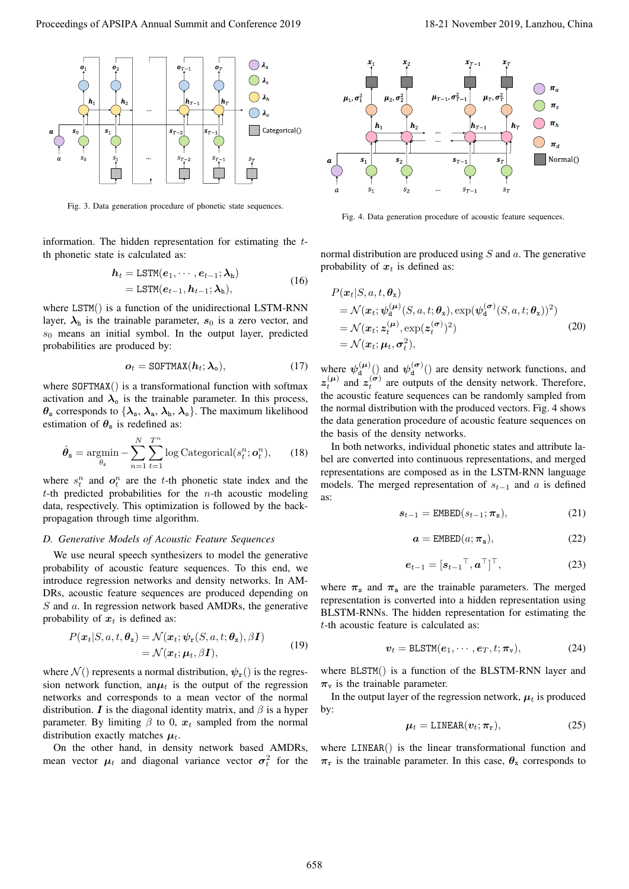

Fig. 3. Data generation procedure of phonetic state sequences.

information. The hidden representation for estimating the *t*th phonetic state is calculated as:

$$
h_t = \text{LSTM}(e_1, \cdots, e_{t-1}; \lambda_h)
$$
  
= \text{LSTM}(e\_{t-1}, h\_{t-1}; \lambda\_h), (16)

where LSTM() is a function of the unidirectional LSTM-RNN layer,  $\lambda_h$  is the trainable parameter,  $s_0$  is a zero vector, and *s*<sup>0</sup> means an initial symbol. In the output layer, predicted probabilities are produced by:

$$
\boldsymbol{o}_t = \text{SOFTMAX}(\boldsymbol{h}_t; \boldsymbol{\lambda}_0), \tag{17}
$$

where SOFTMAX() is a transformational function with softmax activation and  $\lambda_0$  is the trainable parameter. In this process,  $\theta$ <sub>s</sub> corresponds to  $\{\lambda_s, \lambda_a, \lambda_b, \lambda_o\}$ . The maximum likelihood estimation of  $\theta_s$  is redefined as:

$$
\hat{\theta}_{s} = \underset{\theta_{s}}{\operatorname{argmin}} - \sum_{n=1}^{N} \sum_{t=1}^{T^{n}} \log \text{Categorical}(s_{t}^{n}; \mathbf{o}_{t}^{n}), \qquad (18)
$$

where  $s_t^n$  and  $o_t^n$  are the *t*-th phonetic state index and the *t*-th predicted probabilities for the *n*-th acoustic modeling data, respectively. This optimization is followed by the backpropagation through time algorithm.

## *D. Generative Models of Acoustic Feature Sequences*

We use neural speech synthesizers to model the generative probability of acoustic feature sequences. To this end, we introduce regression networks and density networks. In AM-DRs, acoustic feature sequences are produced depending on *S* and *a*. In regression network based AMDRs, the generative probability of  $x_t$  is defined as:

$$
P(\boldsymbol{x}_t|S, a, t, \boldsymbol{\theta}_x) = \mathcal{N}(\boldsymbol{x}_t; \boldsymbol{\psi}_r(S, a, t; \boldsymbol{\theta}_x), \beta \boldsymbol{I})
$$
  
=  $\mathcal{N}(\boldsymbol{x}_t; \boldsymbol{\mu}_t, \beta \boldsymbol{I}),$  (19)

where  $\mathcal{N}$  () represents a normal distribution,  $\psi_r$  () is the regression network function, an $\mu_t$  is the output of the regression networks and corresponds to a mean vector of the normal distribution. *I* is the diagonal identity matrix, and  $\beta$  is a hyper parameter. By limiting  $\beta$  to 0,  $x_t$  sampled from the normal distribution exactly matches  $\mu_t$ .

On the other hand, in density network based AMDRs, mean vector  $\mu_t$  and diagonal variance vector  $\sigma_t^2$  for the



Fig. 4. Data generation procedure of acoustic feature sequences.

normal distribution are produced using *S* and *a*. The generative probability of  $x_t$  is defined as:

$$
P(\boldsymbol{x}_t|S, a, t, \boldsymbol{\theta}_x) = \mathcal{N}(\boldsymbol{x}_t; \boldsymbol{\psi}_d^{(\boldsymbol{\mu})}(S, a, t; \boldsymbol{\theta}_x), \exp(\boldsymbol{\psi}_d^{(\boldsymbol{\sigma})}(S, a, t; \boldsymbol{\theta}_x))^2)
$$
  
=  $\mathcal{N}(\boldsymbol{x}_t; \boldsymbol{z}_t^{(\boldsymbol{\mu})}, \exp(\boldsymbol{z}_t^{(\boldsymbol{\sigma})})^2)$   
=  $\mathcal{N}(\boldsymbol{x}_t; \boldsymbol{\mu}_t, \boldsymbol{\sigma}_t^2),$  (20)

where  $\psi_{d}^{(\mu)}()$  and  $\psi_{d}^{(\sigma)}()$  are density network functions, and  $z_t^{(\mu)}$  and  $z_t^{(\sigma)}$  are outputs of the density network. Therefore, the acoustic feature sequences can be randomly sampled from the normal distribution with the produced vectors. Fig. 4 shows the data generation procedure of acoustic feature sequences on the basis of the density networks.

In both networks, individual phonetic states and attribute label are converted into continuous representations, and merged representations are composed as in the LSTM-RNN language models. The merged representation of  $s_{t-1}$  and  $\alpha$  is defined as:

$$
s_{t-1} = \text{EMBED}(s_{t-1}; \pi_s), \tag{21}
$$

$$
a = \text{EMBED}(a; \pi_a), \tag{22}
$$

$$
\boldsymbol{e}_{t-1} = [\boldsymbol{s}_{t-1}^\top, \boldsymbol{a}^\top]^\top,\tag{23}
$$

where  $\pi_s$  and  $\pi_a$  are the trainable parameters. The merged representation is converted into a hidden representation using BLSTM-RNNs. The hidden representation for estimating the *t*-th acoustic feature is calculated as:

$$
\mathbf{v}_t = \texttt{BLSTM}(\mathbf{e}_1, \cdots, \mathbf{e}_T, t; \boldsymbol{\pi}_v), \tag{24}
$$

where BLSTM() is a function of the BLSTM-RNN layer and  $\pi$ <sub>v</sub> is the trainable parameter.

In the output layer of the regression network,  $\mu_t$  is produced by:

$$
\mu_t = \text{LINEAR}(\boldsymbol{v}_t; \boldsymbol{\pi}_r), \tag{25}
$$

where LINEAR() is the linear transformational function and  $\pi_r$  is the trainable parameter. In this case,  $\theta_x$  corresponds to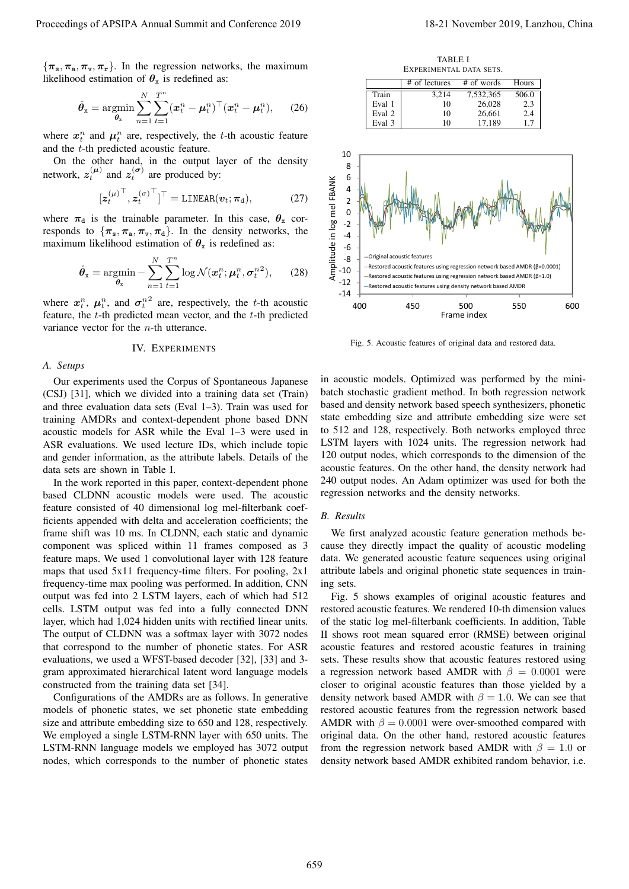${\pi_s, \pi_a, \pi_v, \pi_r}$ . In the regression networks, the maximum likelihood estimation of  $\theta_x$  is redefined as:

$$
\hat{\boldsymbol{\theta}}_{\mathbf{x}} = \operatorname*{argmin}_{\boldsymbol{\theta}_{\mathbf{x}}} \sum_{n=1}^{N} \sum_{t=1}^{T^{n}} (\boldsymbol{x}_{t}^{n} - \boldsymbol{\mu}_{t}^{n})^{\top} (\boldsymbol{x}_{t}^{n} - \boldsymbol{\mu}_{t}^{n}), \qquad (26)
$$

where  $x_t^n$  and  $\mu_t^n$  are, respectively, the *t*-th acoustic feature and the *t*-th predicted acoustic feature.

On the other hand, in the output layer of the density network,  $z_t^{(\mu)}$  and  $z_t^{(\sigma)}$  are produced by:

$$
[\boldsymbol{z}_{t}^{(\mu)}^{\top}, \boldsymbol{z}_{t}^{(\sigma)}^{\top}]^{\top} = \text{LINEAR}(\boldsymbol{v}_{t}; \boldsymbol{\pi}_{\text{d}}), \tag{27}
$$

where  $\pi_d$  is the trainable parameter. In this case,  $\theta_x$  corresponds to  $\{\pi_s, \pi_a, \pi_v, \pi_d\}$ . In the density networks, the maximum likelihood estimation of  $\theta_x$  is redefined as:

$$
\hat{\theta}_{\mathbf{x}} = \operatorname*{argmin}_{\theta_{\mathbf{x}}} - \sum_{n=1}^{N} \sum_{t=1}^{T^{n}} \log \mathcal{N}(\boldsymbol{x}_{t}^{n}; \boldsymbol{\mu}_{t}^{n}, \boldsymbol{\sigma}_{t}^{n2}), \qquad (28)
$$

where  $x_i^n$ ,  $\mu_i^n$ , and  $\sigma_i^{n^2}$  are, respectively, the *t*-th acoustic feature, the *t*-th predicted mean vector, and the *t*-th predicted variance vector for the *n*-th utterance.

#### IV. EXPERIMENTS

## *A. Setups*

Our experiments used the Corpus of Spontaneous Japanese (CSJ) [31], which we divided into a training data set (Train) and three evaluation data sets (Eval 1–3). Train was used for training AMDRs and context-dependent phone based DNN acoustic models for ASR while the Eval 1–3 were used in ASR evaluations. We used lecture IDs, which include topic and gender information, as the attribute labels. Details of the data sets are shown in Table I.

In the work reported in this paper, context-dependent phone based CLDNN acoustic models were used. The acoustic feature consisted of 40 dimensional log mel-filterbank coefficients appended with delta and acceleration coefficients; the frame shift was 10 ms. In CLDNN, each static and dynamic component was spliced within 11 frames composed as 3 feature maps. We used 1 convolutional layer with 128 feature maps that used 5x11 frequency-time filters. For pooling, 2x1 frequency-time max pooling was performed. In addition, CNN output was fed into 2 LSTM layers, each of which had 512 cells. LSTM output was fed into a fully connected DNN layer, which had 1,024 hidden units with rectified linear units. The output of CLDNN was a softmax layer with 3072 nodes that correspond to the number of phonetic states. For ASR evaluations, we used a WFST-based decoder [32], [33] and 3 gram approximated hierarchical latent word language models constructed from the training data set [34]. Proceeding of APSIPA Annual Summit and Conference 2019<br>
(a)  $R_{\text{max}}$ ,  $R_{\text{max}}$ ,  $R_{\text{max}}$ ,  $R_{\text{max}}$ ,  $R_{\text{max}}$ ,  $R_{\text{max}}$ ,  $R_{\text{max}}$ ,  $R_{\text{max}}$ ,  $R_{\text{max}}$ ,  $R_{\text{max}}$ ,  $R_{\text{max}}$ ,  $R_{\text{max}}$ ,  $R_{\text{max}}$ ,  $R_{\text{max}}$ ,  $R_{\text{max$ 

Configurations of the AMDRs are as follows. In generative models of phonetic states, we set phonetic state embedding size and attribute embedding size to 650 and 128, respectively. We employed a single LSTM-RNN layer with 650 units. The LSTM-RNN language models we employed has 3072 output nodes, which corresponds to the number of phonetic states

TABLE I EXPERIMENTAL DATA SETS.

|        | # of lectures | # of words | Hours |
|--------|---------------|------------|-------|
| Train  | 3.214         | 7,532,365  | 506.0 |
| Eval 1 | 10            | 26.028     | 2.3   |
| Eval 2 | 10            | 26.661     | 2.4   |
| Eval 3 | 10            | 17.189     | 17    |



Fig. 5. Acoustic features of original data and restored data.

in acoustic models. Optimized was performed by the minibatch stochastic gradient method. In both regression network based and density network based speech synthesizers, phonetic state embedding size and attribute embedding size were set to 512 and 128, respectively. Both networks employed three LSTM layers with 1024 units. The regression network had 120 output nodes, which corresponds to the dimension of the acoustic features. On the other hand, the density network had 240 output nodes. An Adam optimizer was used for both the regression networks and the density networks.

## *B. Results*

We first analyzed acoustic feature generation methods because they directly impact the quality of acoustic modeling data. We generated acoustic feature sequences using original attribute labels and original phonetic state sequences in training sets.

Fig. 5 shows examples of original acoustic features and restored acoustic features. We rendered 10-th dimension values of the static log mel-filterbank coefficients. In addition, Table II shows root mean squared error (RMSE) between original acoustic features and restored acoustic features in training sets. These results show that acoustic features restored using a regression network based AMDR with  $\beta = 0.0001$  were closer to original acoustic features than those yielded by a density network based AMDR with  $\beta = 1.0$ . We can see that restored acoustic features from the regression network based AMDR with  $\beta = 0.0001$  were over-smoothed compared with original data. On the other hand, restored acoustic features from the regression network based AMDR with  $\beta = 1.0$  or density network based AMDR exhibited random behavior, i.e.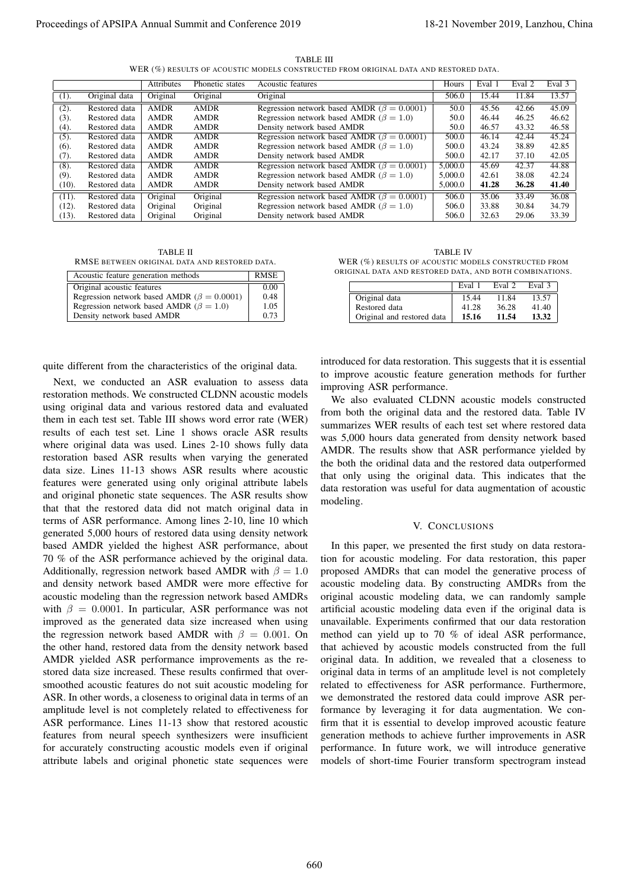TABLE III WER (%) RESULTS OF ACOUSTIC MODELS CONSTRUCTED FROM ORIGINAL DATA AND RESTORED DATA.

|          |               | <b>Attributes</b> | Phonetic states | <b>Acoustic features</b>                           | Hours   | Eval 1 | Eval 2 | Eval 3 |
|----------|---------------|-------------------|-----------------|----------------------------------------------------|---------|--------|--------|--------|
| (1).     | Original data | Original          | Original        | Original                                           | 506.0   | 15.44  | 11.84  | 13.57  |
| (2).     | Restored data | <b>AMDR</b>       | <b>AMDR</b>     | Regression network based AMDR ( $\beta = 0.0001$ ) | 50.0    | 45.56  | 42.66  | 45.09  |
| (3).     | Restored data | <b>AMDR</b>       | <b>AMDR</b>     | Regression network based AMDR ( $\beta = 1.0$ )    | 50.0    | 46.44  | 46.25  | 46.62  |
| (4).     | Restored data | <b>AMDR</b>       | <b>AMDR</b>     | Density network based AMDR                         | 50.0    | 46.57  | 43.32  | 46.58  |
| (5).     | Restored data | <b>AMDR</b>       | <b>AMDR</b>     | Regression network based AMDR ( $\beta = 0.0001$ ) | 500.0   | 46.14  | 42.44  | 45.24  |
| $(6)$ .  | Restored data | <b>AMDR</b>       | <b>AMDR</b>     | Regression network based AMDR ( $\beta = 1.0$ )    | 500.0   | 43.24  | 38.89  | 42.85  |
| (7).     | Restored data | <b>AMDR</b>       | <b>AMDR</b>     | Density network based AMDR                         | 500.0   | 42.17  | 37.10  | 42.05  |
| (8).     | Restored data | <b>AMDR</b>       | <b>AMDR</b>     | Regression network based AMDR ( $\beta = 0.0001$ ) | 5,000.0 | 45.69  | 42.37  | 44.88  |
| (9).     | Restored data | <b>AMDR</b>       | <b>AMDR</b>     | Regression network based AMDR ( $\beta = 1.0$ )    | 5,000.0 | 42.61  | 38.08  | 42.24  |
| (10).    | Restored data | <b>AMDR</b>       | <b>AMDR</b>     | Density network based AMDR                         | 5,000.0 | 41.28  | 36.28  | 41.40  |
| $(11)$ . | Restored data | Original          | Original        | Regression network based AMDR ( $\beta = 0.0001$ ) | 506.0   | 35.06  | 33.49  | 36.08  |
| $(12)$ . | Restored data | Original          | Original        | Regression network based AMDR ( $\beta = 1.0$ )    | 506.0   | 33.88  | 30.84  | 34.79  |
| $(13)$ . | Restored data | Original          | Original        | Density network based AMDR                         | 506.0   | 32.63  | 29.06  | 33.39  |

TABLE II RMSE BETWEEN ORIGINAL DATA AND RESTORED DATA.

| Acoustic feature generation methods                | RMSE |
|----------------------------------------------------|------|
| Original acoustic features                         | 0.00 |
| Regression network based AMDR ( $\beta = 0.0001$ ) | 0.48 |
| Regression network based AMDR ( $\beta = 1.0$ )    | 1.05 |
| Density network based AMDR                         | 0.73 |

quite different from the characteristics of the original data.

Next, we conducted an ASR evaluation to assess data restoration methods. We constructed CLDNN acoustic models using original data and various restored data and evaluated them in each test set. Table III shows word error rate (WER) results of each test set. Line 1 shows oracle ASR results where original data was used. Lines 2-10 shows fully data restoration based ASR results when varying the generated data size. Lines 11-13 shows ASR results where acoustic features were generated using only original attribute labels and original phonetic state sequences. The ASR results show that that the restored data did not match original data in terms of ASR performance. Among lines 2-10, line 10 which generated 5,000 hours of restored data using density network based AMDR yielded the highest ASR performance, about 70 % of the ASR performance achieved by the original data. Additionally, regression network based AMDR with  $\beta = 1.0$ and density network based AMDR were more effective for acoustic modeling than the regression network based AMDRs with  $\beta = 0.0001$ . In particular, ASR performance was not improved as the generated data size increased when using the regression network based AMDR with  $\beta = 0.001$ . On the other hand, restored data from the density network based AMDR yielded ASR performance improvements as the restored data size increased. These results confirmed that oversmoothed acoustic features do not suit acoustic modeling for ASR. In other words, a closeness to original data in terms of an amplitude level is not completely related to effectiveness for ASR performance. Lines 11-13 show that restored acoustic features from neural speech synthesizers were insufficient for accurately constructing acoustic models even if original attribute labels and original phonetic state sequences were Proceeding of APSIPA Annual Summit and Conference 2019<br>
The Constant of Apsil and Conference 2019, Lanzhou and Conference 2019, Lanzhou and Conference 2019, Lanzhou and Conference 2019, Lanzhou and Conference 2019, Lanzho

TABLE IV WER (%) RESULTS OF ACOUSTIC MODELS CONSTRUCTED FROM ORIGINAL DATA AND RESTORED DATA, AND BOTH COMBINATIONS.

|                            | Eval 1 | Eval 2 | Eval 3 |
|----------------------------|--------|--------|--------|
| Original data              | 15.44  | 11.84  | 13.57  |
| Restored data              | 41.28  | 36.28  | 41.40  |
| Original and restored data | 15.16  | 11.54  | 13.32  |

introduced for data restoration. This suggests that it is essential to improve acoustic feature generation methods for further improving ASR performance.

We also evaluated CLDNN acoustic models constructed from both the original data and the restored data. Table IV summarizes WER results of each test set where restored data was 5,000 hours data generated from density network based AMDR. The results show that ASR performance yielded by the both the oridinal data and the restored data outperformed that only using the original data. This indicates that the data restoration was useful for data augmentation of acoustic modeling.

#### V. CONCLUSIONS

In this paper, we presented the first study on data restoration for acoustic modeling. For data restoration, this paper proposed AMDRs that can model the generative process of acoustic modeling data. By constructing AMDRs from the original acoustic modeling data, we can randomly sample artificial acoustic modeling data even if the original data is unavailable. Experiments confirmed that our data restoration method can yield up to 70 % of ideal ASR performance, that achieved by acoustic models constructed from the full original data. In addition, we revealed that a closeness to original data in terms of an amplitude level is not completely related to effectiveness for ASR performance. Furthermore, we demonstrated the restored data could improve ASR performance by leveraging it for data augmentation. We confirm that it is essential to develop improved acoustic feature generation methods to achieve further improvements in ASR performance. In future work, we will introduce generative models of short-time Fourier transform spectrogram instead